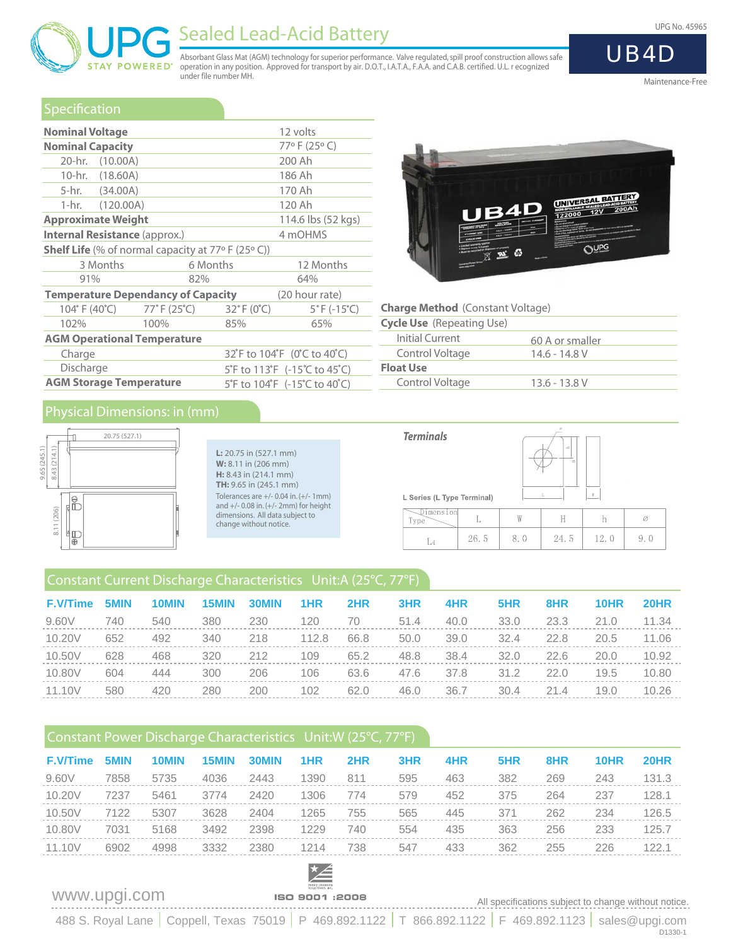



# Sealed Lead-Acid Battery UPG No. 45965

Absorbant Glass Mat (AGM) technology for superior performance. Valve regulated, spill proof construction allows safe operation in any position. Approved for transport by air. D.O.T., I.A.T.A., F.A.A. and C.A.B. certified. U.L. r ecognized under file number MH.

## Maintenance-Free

UB4D

|  |  |  | Specification |  |
|--|--|--|---------------|--|
|  |  |  |               |  |

| <b>Nominal Voltage</b>                                      |                                                                    |                                 | 12 volts                         |  |  |  |
|-------------------------------------------------------------|--------------------------------------------------------------------|---------------------------------|----------------------------------|--|--|--|
| <b>Nominal Capacity</b>                                     |                                                                    |                                 | 77°F (25°C)                      |  |  |  |
| 20-hr. (10.00A)                                             |                                                                    |                                 | 200 Ah                           |  |  |  |
| 10-hr. (18.60A)                                             |                                                                    |                                 | 186 Ah                           |  |  |  |
| 5-hr. (34.00A)                                              |                                                                    |                                 | 170 Ah                           |  |  |  |
| $1-hr.$ $(120.00A)$                                         |                                                                    |                                 | 120 Ah                           |  |  |  |
| <b>Approximate Weight</b>                                   |                                                                    |                                 | 114.6 lbs (52 kgs)               |  |  |  |
| <b>Internal Resistance (approx.)</b>                        |                                                                    |                                 | 4 mOHMS                          |  |  |  |
| <b>Shelf Life</b> (% of normal capacity at $77°$ F (25° C)) |                                                                    |                                 |                                  |  |  |  |
| 3 Months                                                    |                                                                    | 6 Months                        | 12 Months                        |  |  |  |
| 91%                                                         | 82%                                                                |                                 | 64%                              |  |  |  |
| <b>Temperature Dependancy of Capacity</b>                   |                                                                    |                                 | (20 hour rate)                   |  |  |  |
|                                                             | $104^{\circ}$ F (40 $^{\circ}$ C) $77^{\circ}$ F (25 $^{\circ}$ C) | $32^{\circ}$ F (0 $^{\circ}$ C) | $5^{\circ}$ F (-15 $^{\circ}$ C) |  |  |  |
| 102%                                                        | 100%                                                               | 85%                             | 65%                              |  |  |  |
| <b>AGM Operational Temperature</b>                          |                                                                    |                                 |                                  |  |  |  |
| Charge                                                      |                                                                    |                                 | 32°F to 104°F (0°C to 40°C)      |  |  |  |
| Discharge                                                   |                                                                    | 5°F to 113°F (-15°C to 45°C)    |                                  |  |  |  |



### **Charge Method** (Constant Voltage)

| <b>Cycle Use</b> (Repeating Use) |                 |  |
|----------------------------------|-----------------|--|
| Initial Current                  | 60 A or smaller |  |
| Control Voltage                  | $14.6 - 14.8$ V |  |
| <b>Float Use</b>                 |                 |  |
| Control Voltage                  | $13.6 - 13.8$ V |  |

 $\,$  h

12.0

24.5

 $\oslash$ 

 $9.0$ 

## Physical Dimensions: in (mm)



**AGM Storage Temperature**

**L:** 20.75 in (527.1 mm) **W:** 8.11 in (206 mm) **H:** 8.43 in (214.1 mm) **TH:** 9.65 in (245.1 mm) Tolerances are +/- 0.04 in. (+/- 1mm) and +/- 0.08 in. (+/- 2mm) for height dimensions. All data subject to change without notice.

5°F to 113°F (-15°C to 45°C) 5°F to 104°F (-15°C to 40°C)



 $26.5$ 

 $L<sub>4</sub>$ 

8.0

| Constant Current Discharge Characteristics Unit:A (25°C, 77°F) |  |
|----------------------------------------------------------------|--|

| <b>F.V/Time</b> | 5MIN | 10MIN | 15MIN | 30MIN | 1HR   | 2HR  | 3HR  | 4HR  | 5HR  | 8HR  | 10HR | 20HR  |
|-----------------|------|-------|-------|-------|-------|------|------|------|------|------|------|-------|
| 9.60V           | 740  | 540   | 380   | 230   | 120   | 70   | 51.4 | 40.0 | 33.0 | 23.3 | 21.0 | 11.34 |
| 10.20V          | 652  | 492   | 340   | 218   | 112.8 | 66.8 | 50.0 | 39.0 | 32.4 | 22.8 | 20.5 | 11.06 |
| 10.50V          | 628  | 468   | 320   | 212   | 109   | 65.2 | 48.8 | 38.4 | 32.0 | 22.6 | 20.0 | 10.92 |
| 10.80V          | 604  | 444   | 300   | 206   | 106   | 63.6 | 47.6 | 37.8 | 31.2 | 22.0 | 19.5 | 10.80 |
| 11.10V          | 580  | 420   | 280   | 200   | 102   | 62.0 | 46.0 | 36.7 | 30.4 | 21.4 | 19.0 | 10.26 |

## Constant Power Discharge Characteristics Unit:W (25°C, 77°F)

|                                                                                                   | 20HR  |
|---------------------------------------------------------------------------------------------------|-------|
| 9.60V<br>5735<br>4036<br>595<br>463<br>382<br>811<br>269<br>243<br>7858<br>2443<br>1390           | 131.3 |
| 10.20V<br>579<br>2420<br>452<br>375<br>264<br>128.1<br>7237<br>5461<br>1306<br>237<br>3774<br>774 |       |
| 10.50V<br>565<br>5307<br>3628<br>755<br>262<br>7122<br>1265<br>371<br>234<br>2404<br>445          | 126.5 |
| 363<br>10.80V<br>5168<br>3492<br>2398<br>554<br>435<br>256<br>233<br>1229<br>125.7<br>7031<br>740 |       |
| 11.10V<br>6902<br>4998<br>3332<br>2380<br>433<br>362<br>255<br>226<br>122.1<br>738<br>547<br>1214 |       |

www.upgi.com All specifications subject to change without notice.

488 S. Royal Lane | Coppell, Texas 75019 | P 469.892.1122 | T 866.892.1122 | F 469.892.1123 | sales@upgi.com